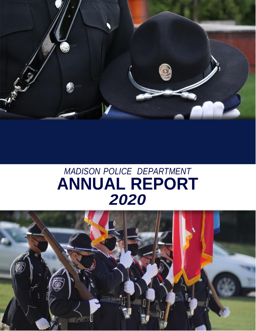

# *MADISON POLICE DEPARTMENT* **ANNUAL REPORT** *2020*

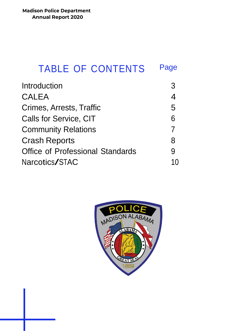| <b>TABLE OF CONTENTS</b>                | Page           |
|-----------------------------------------|----------------|
| <b>Introduction</b>                     | 3              |
| CALEA                                   | $\overline{4}$ |
| Crimes, Arrests, Traffic                | 5              |
| <b>Calls for Service, CIT</b>           | 6              |
| <b>Community Relations</b>              | $\overline{7}$ |
| <b>Crash Reports</b>                    | 8              |
| <b>Office of Professional Standards</b> | 9              |
| Narcotics/STAC                          |                |

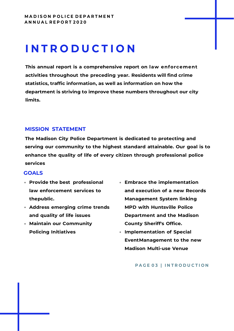# **I N T R O D U C T I O N**

**This annual report is a comprehensive report on law enforcement activities throughout the preceding year. Residents will find crime statistics, traffic information, as well as information on how the department is striving to improve these numbers throughout our city limits.** 

### **MISSION STATEMENT**

**The Madison City Police Department is dedicated to protecting and serving our community to the highest standard attainable. Our goal is to enhance the quality of life of every citizen through professional police services**

#### **GOALS**

- **Provide the best professional law enforcement services to thepublic.**
- **Address emerging crime trends and quality of life issues**
- **Maintain our Community Policing Initiatives**
- **Embrace the implementation and execution of a new Records Management System linking MPD with Huntsville Police Department and the Madison County Sheriff's Office.**
- **Implementation of Special EventManagement to the new Madison Multi-use Venue**

#### **P A G E 0 3 | I N T R O D U C T I O N**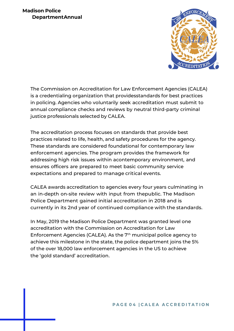### **Madison Police DepartmentAnnual**



The Commission on Accreditation for Law Enforcement Agencies (CALEA) is a credentialing organization that providesstandards for best practices in policing. Agencies who voluntarily seek accreditation must submit to annual compliance checks and reviews by neutral third-party criminal justice professionals selected by CALEA.

The accreditation process focuses on standards that provide best practices related to life, health, and safety procedures for the agency. These standards are considered foundational for contemporary law enforcement agencies. The program provides the framework for addressing high risk issues within acontemporary environment, and ensures officers are prepared to meet basic community service expectations and prepared to manage critical events.

CALEA awards accreditation to agencies every four years culminating in an in-depth on-site review with input from thepublic. The Madison Police Department gained initial accreditation in 2018 and is currently in its 2nd year of continued compliance with the standards.

In May, 2019 the Madison Police Department was granted level one accreditation with the Commission on Accreditation for Law Enforcement Agencies (CALEA). As the 7<sup>th</sup> municipal police agency to achieve this milestone in the state, the police department joins the 5% of the over 18,000 law enforcement agencies in the US to achieve the 'gold standard' accreditation.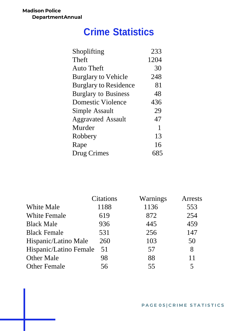**Madison Police DepartmentAnnual**

### **Crime Statistics**

| Shoplifting                  | 233  |
|------------------------------|------|
| Theft                        | 1204 |
| <b>Auto Theft</b>            | 30   |
| <b>Burglary to Vehicle</b>   | 248  |
| <b>Burglary to Residence</b> | 81   |
| <b>Burglary to Business</b>  | 48   |
| <b>Domestic Violence</b>     | 436  |
| Simple Assault               | 29   |
| <b>Aggravated Assault</b>    | 47   |
| Murder                       | 1    |
| Robbery                      | 13   |
| Rape                         | 16   |
| Drug Crimes                  | 685  |

|                        | Citations | Warnings | Arrests |
|------------------------|-----------|----------|---------|
| <b>White Male</b>      | 1188      | 1136     | 553     |
| <b>White Female</b>    | 619       | 872      | 254     |
| <b>Black Male</b>      | 936       | 445      | 459     |
| <b>Black Female</b>    | 531       | 256      | 147     |
| Hispanic/Latino Male   | 260       | 103      | 50      |
| Hispanic/Latino Female | 51        | 57       | 8       |
| <b>Other Male</b>      | 98        | 88       | 11      |
| <b>Other Female</b>    | 56        | 55       | 5       |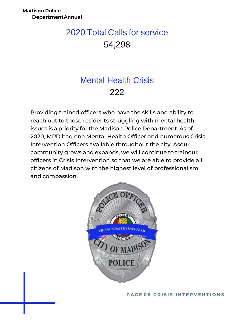### 2020 Total Calls for service 54,298

### Mental Health Crisis 222

Providing trained officers who have the skills and ability to reach out to those residents struggling with mental health issues is a priority for the Madison Police Department. As of 2020, MPD had one Mental Health Officer and numerous Crisis Intervention Officers available throughout the city. Asour community grows and expands, we will continue to trainour officers in Crisis Intervention so that we are able to provide all citizens of Madison with the highest level of professionalism and compassion.



**PAGE 06 CRISIS INTERVENTIONS**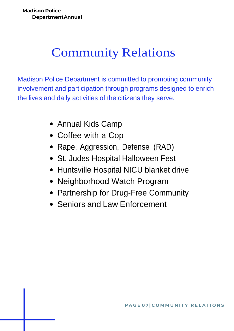# Community Relations

Madison Police Department is committed to promoting community involvement and participation through programs designed to enrich the lives and daily activities of the citizens they serve.

- Annual Kids Camp
- Coffee with a Cop
- Rape, Aggression, Defense (RAD)
- St. Judes Hospital Halloween Fest
- Huntsville Hospital NICU blanket drive
- Neighborhood Watch Program
- Partnership for Drug-Free Community
- Seniors and Law Enforcement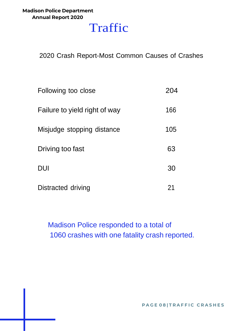### **Madison Police Department Annual Report 2020**

## Traffic

2020 Crash Report-Most Common Causes of Crashes

| Following too close           | 204 |
|-------------------------------|-----|
| Failure to yield right of way | 166 |
| Misjudge stopping distance    | 105 |
| Driving too fast              | 63  |
| <b>DUI</b>                    | 30  |
| Distracted driving            | 21  |

Madison Police responded to a total of 1060 crashes with one fatality crash reported.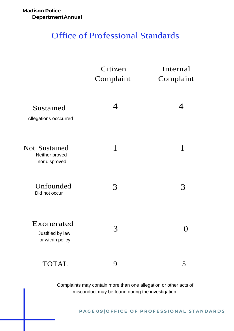#### **Madison Police DepartmentAnnual**

### Office of Professional Standards

|                                                         | Citizen<br>Complaint | Internal<br>Complaint |
|---------------------------------------------------------|----------------------|-----------------------|
| Sustained<br>Allegations occcurred                      | 4                    | 4                     |
| <b>Not Sustained</b><br>Neither proved<br>nor disproved | $\mathbf 1$          | $\mathbf{1}$          |
| Unfounded<br>Did not occur                              | 3                    | 3                     |
| Exonerated<br>Justified by law<br>or within policy      | 3                    |                       |
| <b>TOTAL</b>                                            | 9                    | 5                     |

Complaints may contain more than one allegation or other acts of misconduct may be found during the investigation.